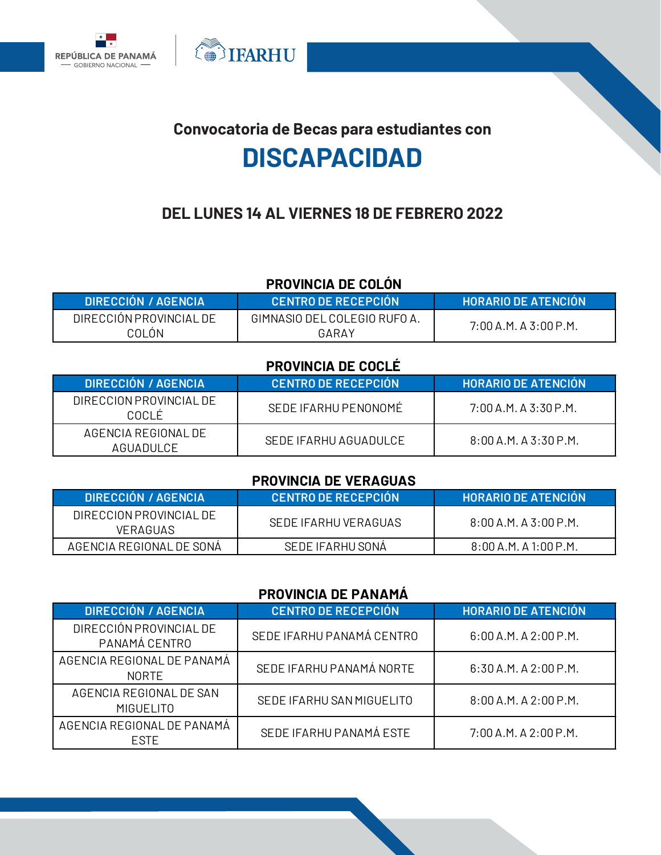



**OF THE SET OF STRAKE** 

# **DEL LUNES 14 AL VIERNES 18 DE FEBRERO 2022**

# **PROVINCIA DE COLÓN**

| <b>DIRECCION / AGENCIA</b> | <b>CENTRO DE RECEPCION</b>   | <b>HORARIO DE ATENCION</b> |
|----------------------------|------------------------------|----------------------------|
| DIRECCION PROVINCIAL DE    | GIMNASIO DEL COLEGIO RUFO A. | $7:00$ A.M. A 3:00 P.M.    |
| COLON                      | GARAY                        |                            |

#### **PROVINCIA DE COCLÉ**

| <b>DIRECCIÓN / AGENCIA</b>       | <b>LCENTRO DE RECEPCIÓN</b> | <b>HORARIO DE ATENCIÓN</b> |
|----------------------------------|-----------------------------|----------------------------|
| DIRECCION PROVINCIAL DE<br>COCLÉ | SEDE IFARHU PENONOMÉ        | $7:00$ A.M. A 3:30 P.M.    |
| AGENCIA REGIONAL DE<br>AGUADULCE | SEDE IFARHU AGUADUI CF      | $8:00$ A.M. A 3:30 P.M.    |

#### **PROVINCIA DE VERAGUAS**

| DIRECCION / AGENCIA                        | LCENTRO DE RECEPCION ! | <b>HORARIO DE ATENCION</b> |
|--------------------------------------------|------------------------|----------------------------|
| DIRECCION PROVINCIAL DE<br><b>VERAGUAS</b> | SEDE IFARHU VERAGUAS   | $8:00$ A.M. A 3:00 P.M.    |
| AGENCIA REGIONAL DE SONA                   | SEDE IFARHU SONÀ       | 8:00 A.M. A 1:00 P.M.      |

#### **PROVINCIA DE PANAMÁ**

| <b>DIRECCIÓN / AGENCIA</b>                  | <b>CENTRO DE RECEPCIÓN</b> | <b>HORARIO DE ATENCIÓN</b> |
|---------------------------------------------|----------------------------|----------------------------|
| DIRECCIÓN PROVINCIAL DE<br>PANAMÁ CENTRO    | SEDE IFARHU PANAMÁ CENTRO  | $6:00$ A.M. A 2:00 P.M.    |
| AGENCIA REGIONAL DE PANAMÁ<br><b>NORTE</b>  | SEDE IFARHU PANAMÁ NORTE   | 6:30 A.M. A 2:00 P.M.      |
| AGENCIA REGIONAL DE SAN<br><b>MIGUELITO</b> | SEDE IFARHU SAN MIGUELITO  | $8:00$ A.M. A $2:00$ P.M.  |
| AGENCIA REGIONAL DE PANAMÁ<br><b>FSTF</b>   | SEDE IFARHU PANAMÁ ESTE    | 7:00 A.M. A 2:00 P.M.      |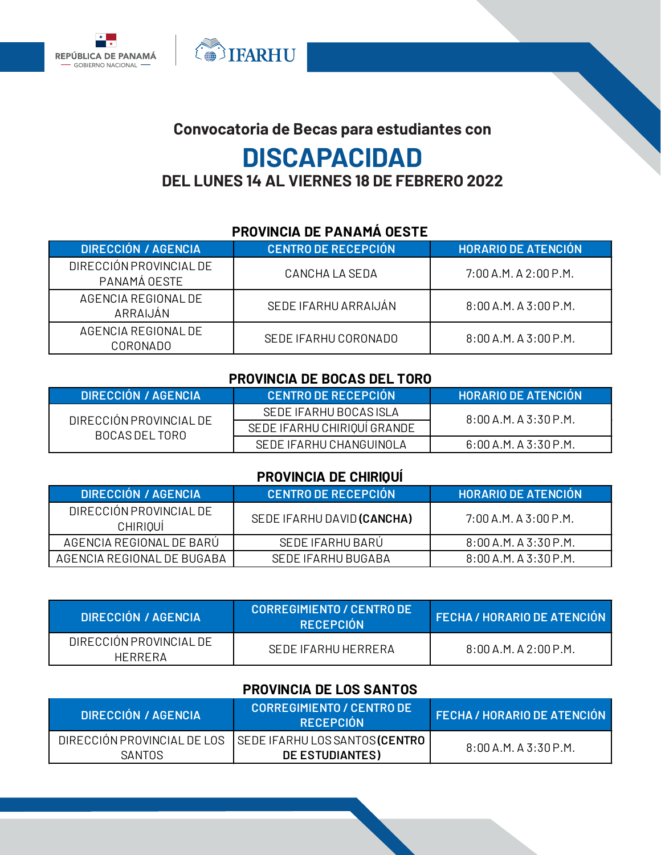

# **Convocatoria de Becas para estudiantes con DISCAPACIDAD DEL LUNES 14 AL VIERNES 18 DE FEBRERO 2022**

**OF THE SET OF STRAKE** 

#### **PROVINCIA DE PANAMÁ OESTE**

| <b>DIRECCIÓN / AGENCIA</b>              | <b>CENTRO DE RECEPCIÓN</b> | <b>HORARIO DE ATENCIÓN</b> |
|-----------------------------------------|----------------------------|----------------------------|
| DIRECCIÓN PROVINCIAL DE<br>PANAMÁ OESTE | CANCHAIA SEDA              | $7:00$ A.M. A $2:00$ P.M.  |
| AGENCIA REGIONAL DE<br>ARRAIJÁN         | SEDE IFARHU ARRAIJÁN       | $8:00$ A.M. A 3:00 P.M.    |
| AGENCIA REGIONAL DE<br>CORONADO         | SEDE IFARHU CORONADO       | $8:00$ A.M. A 3:00 P.M.    |

#### **PROVINCIA DE BOCAS DEL TORO**

| DIRECCION / AGENCIA                       | <b>CENTRO DE RECEPCION</b>  | <b>HORARIO DE ATENCIÓN Y</b> |
|-------------------------------------------|-----------------------------|------------------------------|
| DIRECCIÓN PROVINCIAL DE<br>BOCAS DEL TORO | SEDE IFARHU BOCAS ISLA      | $8:00$ A.M. A 3:30 P.M.      |
|                                           | SEDE IFARHU CHIRIQUI GRANDE |                              |
|                                           | SEDE IFARHU CHANGUINOLA     | $6:00$ A.M. A 3:30 P.M.      |

#### **PROVINCIA DE CHIRIQUÍ**

| <b>DIRECCIÓN / AGENCIA</b>                 | <b>CENTRO DE RECEPCIÓN</b> | <b>HORARIO DE ATENCIÓN</b> |
|--------------------------------------------|----------------------------|----------------------------|
| DIRECCIÓN PROVINCIAL DE<br><b>CHIRIOUI</b> | SEDE IFARHU DAVID (CANCHA) | $7:00$ A.M. A 3:00 P.M.    |
| AGENCIA REGIONAL DE BARU                   | SEDE IFARHU BARU           | 8:00 A.M. A 3:30 P.M.      |
| AGENCIA REGIONAL DE BUGABA                 | SEDE IFARHU BUGABA         | 8:00 A.M. A 3:30 P.M.      |

| <b>DIRECCIÓN / AGENCIA</b>         | <b>CORREGIMIENTO / CENTRO DE</b><br><b>RECEPCIÓN</b> | <b>FECHA / HORARIO DE ATENCIÓN</b> |
|------------------------------------|------------------------------------------------------|------------------------------------|
| DIRECCION PROVINCIAL DE<br>HFRRFRA | SEDE IFARHU HERRERA                                  | $8:00$ A.M. A 2:00 P.M.            |

#### **PROVINCIA DE LOS SANTOS**

| <b>DIRECCIÓN / AGENCIA</b>            | CORREGIMIENTO / CENTRO DE '<br><b>RECEPCIÓN</b>          | <b>FECHA / HORARIO DE ATENCIÓN</b> |
|---------------------------------------|----------------------------------------------------------|------------------------------------|
| DIRECCIÓN PROVINCIAL DE LOS<br>SANTOS | SEDE IFARHU LOS SANTOS <b>(CENTRO</b><br>DE ESTUDIANTES) | $8:00$ A.M. A 3:30 P.M.            |